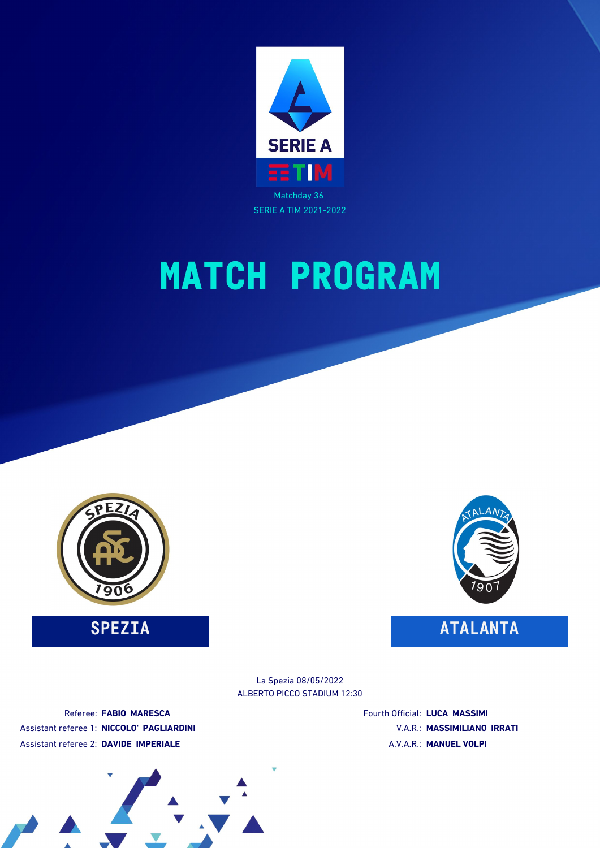



**SPEZIA ATALANTA**



ALBERTO PICCO STADIUM 12:30 La Spezia 08/05/2022

Referee: **FABIO MARESCA** Assistant referee 1: **NICCOLO' PAGLIARDINI** Assistant referee 2: **DAVIDE IMPERIALE**

Fourth Official: **LUCA MASSIMI** V.A.R.: **MASSIMILIANO IRRATI** A.V.A.R.: **MANUEL VOLPI**

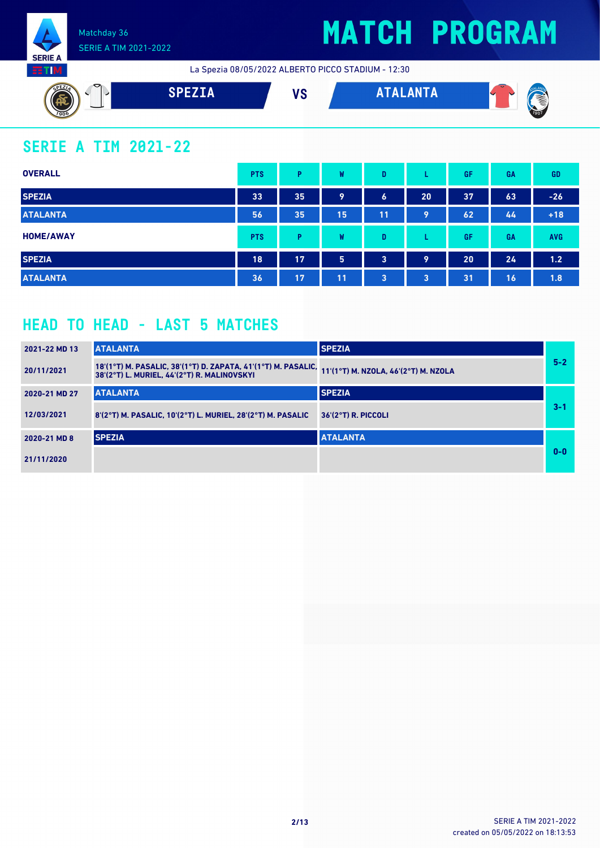

## **MATCH PROGRAM**

La Spezia 08/05/2022 ALBERTO PICCO STADIUM - 12:30



### **SERIE A TIM 2021-22**

| <b>OVERALL</b>   | <b>PTS</b> | P  | W  | D              |                 | GF | <b>GA</b> | <b>GD</b>  |
|------------------|------------|----|----|----------------|-----------------|----|-----------|------------|
| <b>SPEZIA</b>    | 33         | 35 | 9  | 6              | 20 <sub>1</sub> | 37 | 63        | $-26$      |
| <b>ATALANTA</b>  | 56         | 35 | 15 | 11             | 9               | 62 | 44        | $+18$      |
| <b>HOME/AWAY</b> | <b>PTS</b> | Þ  | W  | D              |                 | GF | <b>GA</b> | <b>AVG</b> |
| <b>SPEZIA</b>    | 18         | 17 | 5  | $\overline{3}$ | 9               | 20 | 24        | 1.2        |
| <b>ATALANTA</b>  | 36         | 17 | 11 | 3              | $\overline{3}$  | 31 | 16        | 1.8        |

### **HEAD TO HEAD - LAST 5 MATCHES**

| 2021-22 MD 13 | <b>ATALANTA</b>                                                                                              | <b>SPEZIA</b>                        |         |
|---------------|--------------------------------------------------------------------------------------------------------------|--------------------------------------|---------|
| 20/11/2021    | 18'(1°T) M. PASALIC, 38'(1°T) D. ZAPATA, 41'(1°T) M. PASALIC,<br>38'(2°T) L. MURIEL. 44'(2°T) R. MALINOVSKYI | 11'(1°T) M. NZOLA, 46'(2°T) M. NZOLA | $5 - 2$ |
| 2020-21 MD 27 | <b>ATALANTA</b>                                                                                              | <b>SPEZIA</b>                        |         |
| 12/03/2021    | 8'(2°T) M. PASALIC, 10'(2°T) L. MURIEL, 28'(2°T) M. PASALIC                                                  | $36'(2°T)$ R. PICCOLI                | $3 - 1$ |
| 2020-21 MD 8  | <b>SPEZIA</b>                                                                                                | <b>ATALANTA</b>                      |         |
| 21/11/2020    |                                                                                                              |                                      | $0 - 0$ |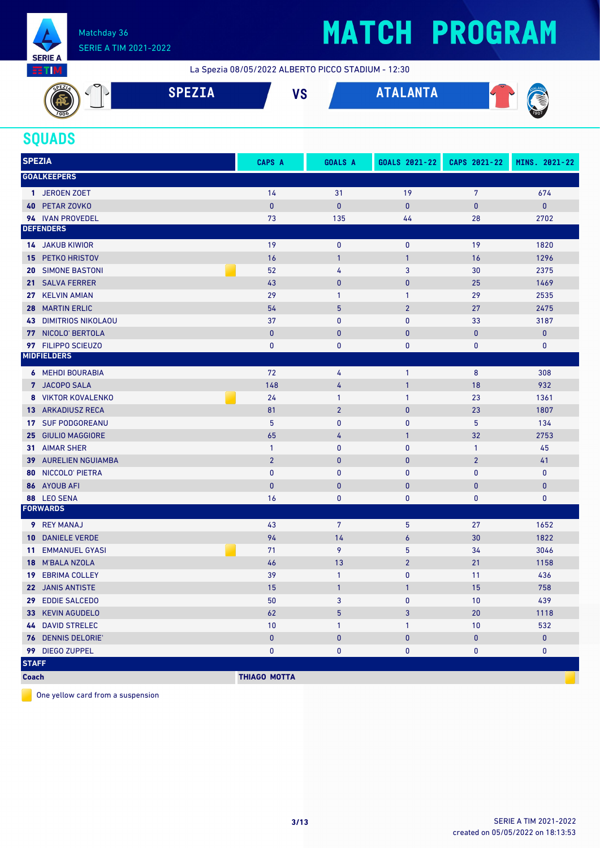

## **MATCH PROGRAM**

La Spezia 08/05/2022 ALBERTO PICCO STADIUM - 12:30



#### **SQUADS**

| <b>SPEZIA</b>                          | <b>CAPS A</b>       | <b>GOALS A</b> | GOALS 2021-22  | CAPS 2021-22   | MINS. 2021-22 |
|----------------------------------------|---------------------|----------------|----------------|----------------|---------------|
| <b>GOALKEEPERS</b>                     |                     |                |                |                |               |
| 1 JEROEN ZOET                          | 14                  | 31             | 19             | $\overline{7}$ | 674           |
| 40 PETAR ZOVKO                         | $\mathbf{0}$        | $\pmb{0}$      | $\mathbf 0$    | $\bf{0}$       | $\pmb{0}$     |
| 94 IVAN PROVEDEL                       | 73                  | 135            | 44             | 28             | 2702          |
| <b>DEFENDERS</b>                       |                     |                |                |                |               |
| <b>14 JAKUB KIWIOR</b>                 | 19                  | $\bf{0}$       | 0              | 19             | 1820          |
| PETKO HRISTOV<br>15.                   | 16                  | $\overline{1}$ | $\mathbf{1}$   | 16             | 1296          |
| <b>SIMONE BASTONI</b><br>20            | 52                  | 4              | 3              | 30             | 2375          |
| <b>SALVA FERRER</b><br>21 <sup>1</sup> | 43                  | $\mathbf{0}$   | $\mathbf 0$    | 25             | 1469          |
| <b>KELVIN AMIAN</b><br>27              | 29                  | $\mathbf{1}$   | 1              | 29             | 2535          |
| <b>MARTIN ERLIC</b><br>28              | 54                  | 5              | $\overline{2}$ | 27             | 2475          |
| <b>DIMITRIOS NIKOLAOU</b><br>43        | 37                  | $\mathbf{0}$   | 0              | 33             | 3187          |
| 77 NICOLO' BERTOLA                     | $\mathbf{0}$        | $\pmb{0}$      | $\mathbf 0$    | 0              | $\pmb{0}$     |
| 97 FILIPPO SCIEUZO                     | $\pmb{0}$           | $\pmb{0}$      | 0              | 0              | 0             |
| <b>MIDFIELDERS</b>                     |                     |                |                |                |               |
| <b>6 MEHDI BOURABIA</b>                | 72                  | 4              | $\mathbf{1}$   | 8              | 308           |
| 7 JACOPO SALA                          | 148                 | 4              | $\mathbf{1}$   | 18             | 932           |
| 8 VIKTOR KOVALENKO                     | 24                  | $\mathbf{1}$   | 1              | 23             | 1361          |
| <b>13 ARKADIUSZ RECA</b>               | 81                  | $\overline{2}$ | $\mathbf 0$    | 23             | 1807          |
| <b>SUF PODGOREANU</b><br>17            | 5                   | $\mathbf{0}$   | $\pmb{0}$      | 5              | 134           |
| 25 GIULIO MAGGIORE                     | 65                  | 4              | $\mathbf{1}$   | 32             | 2753          |
| 31 AIMAR SHER                          | $\mathbf{1}$        | $\bf{0}$       | 0              | $\mathbf{1}$   | 45            |
| <b>AURELIEN NGUIAMBA</b><br>39         | $\overline{2}$      | $\bf{0}$       | $\mathbf{0}$   | $\overline{2}$ | 41            |
| NICCOLO' PIETRA<br>80                  | $\mathbf{0}$        | $\pmb{0}$      | 0              | 0              | $\mathbf 0$   |
| 86 AYOUB AFI                           | $\mathbf{0}$        | $\mathbf{0}$   | $\mathbf 0$    | 0              | $\mathbf 0$   |
| 88 LEO SENA                            | 16                  | $\mathbf{0}$   | 0              | 0              | 0             |
| <b>FORWARDS</b>                        |                     |                |                |                |               |
| <b>9</b> REY MANAJ                     | 43                  | 7              | 5              | 27             | 1652          |
| <b>DANIELE VERDE</b><br>10             | 94                  | 14             | 6              | 30             | 1822          |
| <b>EMMANUEL GYASI</b><br>11            | 71                  | 9              | 5              | 34             | 3046          |
| <b>M'BALA NZOLA</b><br>18              | 46                  | 13             | $\overline{2}$ | 21             | 1158          |
| <b>EBRIMA COLLEY</b><br>19             | 39                  | $\mathbf{1}$   | 0              | 11             | 436           |
| 22 JANIS ANTISTE                       | 15                  | $\mathbf{1}$   | 1              | 15             | 758           |
| 29 EDDIE SALCEDO                       | 50                  | 3              | $\mathbf{0}$   | 10             | 439           |
| 33 KEVIN AGUDELO                       | 62                  | 5              | 3              | 20             | 1118          |
| <b>44 DAVID STRELEC</b>                | $10$                | $\mathbf{1}$   | 1              | 10             | 532           |
| 76 DENNIS DELORIE'                     | $\pmb{0}$           | $\pmb{0}$      | $\pmb{0}$      | $\mathbf 0$    | $\pmb{0}$     |
| 99 DIEGO ZUPPEL                        | $\pmb{0}$           | $\pmb{0}$      | 0              | 0              | $\bf{0}$      |
| <b>STAFF</b>                           |                     |                |                |                |               |
| <b>Coach</b>                           | <b>THIAGO MOTTA</b> |                |                |                |               |

One yellow card from a suspension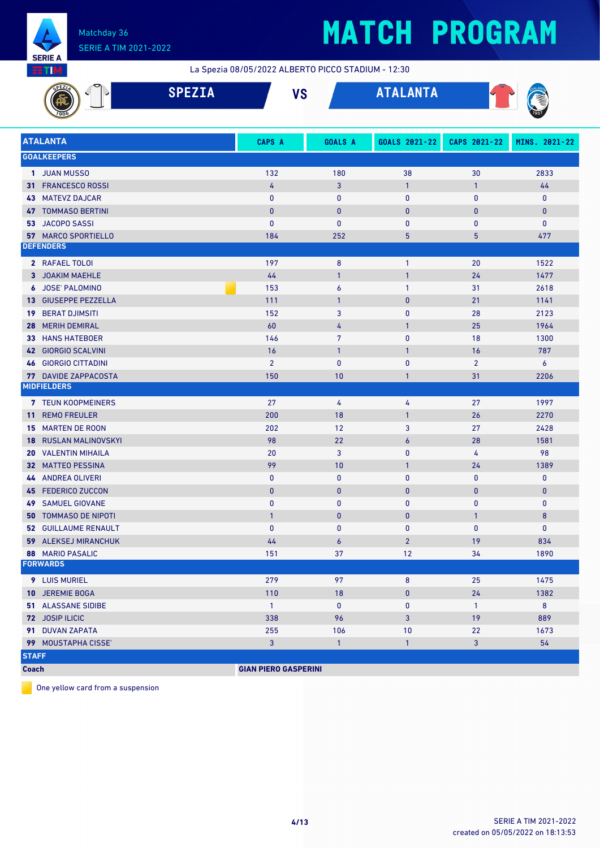

La Spezia 08/05/2022 ALBERTO PICCO STADIUM - 12:30

|              |                                            | <b>SPEZIA</b> |                             | <b>VS</b>        | <b>ATALANTA</b>  |                |               |
|--------------|--------------------------------------------|---------------|-----------------------------|------------------|------------------|----------------|---------------|
|              | <b>ATALANTA</b>                            |               | CAPS A                      | <b>GOALS A</b>   | GOALS 2021-22    | CAPS 2021-22   | MINS. 2021-22 |
|              | <b>GOALKEEPERS</b>                         |               |                             |                  |                  |                |               |
|              | 1 JUAN MUSSO                               |               | 132                         | 180              | 38               | 30             | 2833          |
|              | 31 FRANCESCO ROSSI                         |               | 4                           | $\mathbf{3}$     | $\mathbf{1}$     | $\mathbf{1}$   | 44            |
|              | <b>43 MATEVZ DAJCAR</b>                    |               | 0                           | $\mathbf{0}$     | 0                | 0              | $\mathbf 0$   |
|              | <b>47 TOMMASO BERTINI</b>                  |               | $\bf{0}$                    | $\mathbf{0}$     | $\mathbf{0}$     | $\bf{0}$       | $\mathbf{0}$  |
|              | 53 JACOPO SASSI                            |               | $\mathbf{0}$                | 0                | 0                | 0              | 0             |
|              | <b>57 MARCO SPORTIELLO</b>                 |               | 184                         | 252              | 5                | 5              | 477           |
|              | <b>DEFENDERS</b>                           |               |                             |                  |                  |                |               |
|              | 2 RAFAEL TOLOI                             |               | 197                         | $\boldsymbol{8}$ | $\mathbf{1}$     | 20             | 1522          |
|              | 3 JOAKIM MAEHLE                            |               | 44                          | $\mathbf{1}$     | $\mathbf{1}$     | 24             | 1477          |
|              | 6 JOSE' PALOMINO                           |               | 153                         | $\boldsymbol{6}$ | $\mathbf{1}$     | 31             | 2618          |
|              | 13 GIUSEPPE PEZZELLA                       |               | 111                         | $\overline{1}$   | $\mathbf{0}$     | 21             | 1141          |
| 19           | <b>BERAT DJIMSITI</b>                      |               | 152                         | 3                | $\mathbf 0$      | 28             | 2123          |
| 28           | <b>MERIH DEMIRAL</b>                       |               | 60                          | 4                | $\mathbf{1}$     | 25             | 1964          |
| 33           | <b>HANS HATEBOER</b>                       |               | 146                         | $\overline{7}$   | $\mathbf{0}$     | 18             | 1300          |
| 42           | <b>GIORGIO SCALVINI</b>                    |               | 16                          | $\overline{1}$   | $\mathbf{1}$     | 16             | 787           |
| 46           | <b>GIORGIO CITTADINI</b>                   |               | $\overline{2}$              | $\mathbf{0}$     | $\mathbf{0}$     | $\overline{2}$ | 6             |
|              | 77 DAVIDE ZAPPACOSTA                       |               | 150                         | 10               | $\mathbf{1}$     | 31             | 2206          |
|              | <b>MIDFIELDERS</b>                         |               |                             |                  |                  |                |               |
|              | 7 TEUN KOOPMEINERS                         |               | 27                          | 4                | 4                | 27             | 1997          |
| 11           | <b>REMO FREULER</b>                        |               | 200                         | 18               | $\mathbf{1}$     | 26             | 2270          |
|              | <b>15 MARTEN DE ROON</b>                   |               | 202                         | 12               | 3                | 27             | 2428          |
| 18           | <b>RUSLAN MALINOVSKYI</b>                  |               | 98                          | 22               | $\boldsymbol{6}$ | 28             | 1581          |
|              | <b>20 VALENTIN MIHAILA</b>                 |               | 20                          | 3                | 0                | 4              | 98            |
| 32           | <b>MATTEO PESSINA</b>                      |               | 99                          | 10               | $\mathbf{1}$     | 24             | 1389          |
|              | 44 ANDREA OLIVERI                          |               | $\mathbf{0}$                | $\mathbf{0}$     | $\mathbf{0}$     | 0              | $\mathbf 0$   |
|              | 45 FEDERICO ZUCCON                         |               | $\mathbf{0}$                | $\mathbf{0}$     | $\pmb{0}$        | $\bf{0}$       | $\pmb{0}$     |
|              | <b>49 SAMUEL GIOVANE</b>                   |               | $\mathbf{0}$                | $\mathbf{0}$     | $\mathbf{0}$     | 0              | $\mathbf 0$   |
|              | <b>50 TOMMASO DE NIPOTI</b>                |               | $\mathbf{1}$                | $\bf{0}$         | $\bf{0}$         | $\mathbf{1}$   | 8             |
|              | 52 GUILLAUME RENAULT                       |               | 0                           | 0                | 0                | $\mathbf{0}$   | $\mathbf{0}$  |
|              | <b>59 ALEKSEJ MIRANCHUK</b>                |               | 44                          | $\boldsymbol{6}$ | $\overline{2}$   | 19             | 834           |
|              | <b>88 MARIO PASALIC</b><br><b>FORWARDS</b> |               | 151                         | 37               | 12               | 34             | 1890          |
|              |                                            |               |                             |                  |                  |                |               |
|              | <b>9</b> LUIS MURIEL                       |               | 279                         | 97               | 8                | 25             | 1475          |
|              | 10 JEREMIE BOGA                            |               | 110                         | 18               | $\bf{0}$         | 24             | 1382          |
|              | 51 ALASSANE SIDIBE                         |               | $\mathbf{1}$                | $\mathbf 0$      | $\mathbf 0$      | $\mathbf{1}$   | 8             |
|              | 72 JOSIP ILICIC                            |               | 338                         | 96               | 3                | 19             | 889           |
|              | 91 DUVAN ZAPATA                            |               | 255                         | 106              | 10               | 22             | 1673          |
|              | 99 MOUSTAPHA CISSE'                        |               | $\overline{3}$              | $\mathbf{1}$     | $\mathbf{1}$     | $\mathbf{3}$   | 54            |
| <b>STAFF</b> |                                            |               |                             |                  |                  |                |               |
| <b>Coach</b> |                                            |               | <b>GIAN PIERO GASPERINI</b> |                  |                  |                |               |

One yellow card from a suspension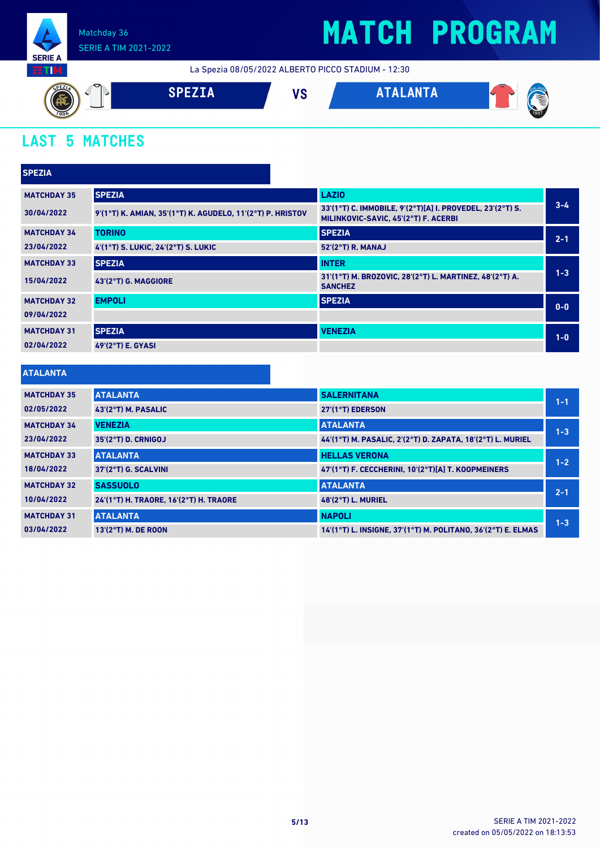

## **MATCH PROGRAM**

La Spezia 08/05/2022 ALBERTO PICCO STADIUM - 12:30



### **LAST 5 MATCHES**

| <b>SPEZIA</b>      |                                                            |                                                                                                   |         |
|--------------------|------------------------------------------------------------|---------------------------------------------------------------------------------------------------|---------|
| <b>MATCHDAY 35</b> | <b>SPEZIA</b>                                              | <b>LAZIO</b>                                                                                      |         |
| 30/04/2022         | 9'(1°T) K. AMIAN, 35'(1°T) K. AGUDELO, 11'(2°T) P. HRISTOV | 33'(1°T) C. IMMOBILE, 9'(2°T)[A] I. PROVEDEL, 23'(2°T) S.<br>MILINKOVIC-SAVIC, 45'(2°T) F. ACERBI | $3 - 4$ |
| <b>MATCHDAY 34</b> | <b>TORINO</b>                                              | <b>SPEZIA</b>                                                                                     | $2 - 1$ |
| 23/04/2022         | 4'(1°T) S. LUKIC, 24'(2°T) S. LUKIC                        | 52'(2°T) R. MANAJ                                                                                 |         |
| <b>MATCHDAY 33</b> | <b>SPEZIA</b>                                              | <b>INTER</b>                                                                                      |         |
| 15/04/2022         | 43'(2°T) G. MAGGIORE                                       | 31'(1°T) M. BROZOVIC, 28'(2°T) L. MARTINEZ, 48'(2°T) A.<br><b>SANCHEZ</b>                         | $1 - 3$ |
| <b>MATCHDAY 32</b> | <b>EMPOLI</b>                                              | <b>SPEZIA</b>                                                                                     | $0 - 0$ |
| 09/04/2022         |                                                            |                                                                                                   |         |
| <b>MATCHDAY 31</b> | <b>SPEZIA</b>                                              | <b>VENEZIA</b>                                                                                    | $1-0$   |
| 02/04/2022         | 49'(2°T) E. GYASI                                          |                                                                                                   |         |

#### **ATALANTA**

| <b>MATCHDAY 35</b> | <b>ATALANTA</b>                        | <b>SALERNITANA</b>                                           | $1 - 1$ |
|--------------------|----------------------------------------|--------------------------------------------------------------|---------|
| 02/05/2022         | 43'(2°T) M. PASALIC                    | 27'(1°T) EDERSON                                             |         |
| <b>MATCHDAY 34</b> | <b>VENEZIA</b>                         | <b>ATALANTA</b>                                              | $1 - 3$ |
| 23/04/2022         | 35'(2°T) D. CRNIGOJ                    | 44'(1°T) M. PASALIC, 2'(2°T) D. ZAPATA, 18'(2°T) L. MURIEL   |         |
| <b>MATCHDAY 33</b> | <b>ATALANTA</b>                        | <b>HELLAS VERONA</b>                                         | $1 - 2$ |
| 18/04/2022         | 37'(2°T) G. SCALVINI                   | 47'(1°T) F. CECCHERINI. 10'(2°T)[A] T. KOOPMEINERS           |         |
| <b>MATCHDAY 32</b> | <b>SASSUOLO</b>                        | <b>ATALANTA</b>                                              | $2 - 1$ |
| 10/04/2022         | 24'(1°T) H. TRAORE. 16'(2°T) H. TRAORE | <b>48'(2°T) L. MURIEL</b>                                    |         |
| <b>MATCHDAY 31</b> | <b>ATALANTA</b>                        | <b>NAPOLI</b>                                                | $1 - 3$ |
| 03/04/2022         | 13'(2°T) M. DE ROON                    | 14'(1°T) L. INSIGNE, 37'(1°T) M. POLITANO, 36'(2°T) E. ELMAS |         |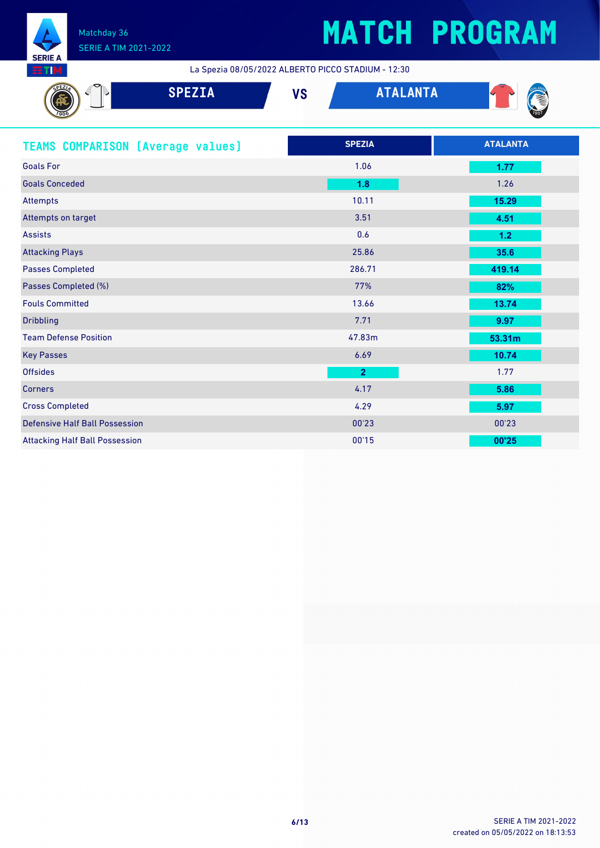

# **MATCH PROGRAM**

La Spezia 08/05/2022 ALBERTO PICCO STADIUM - 12:30

| <b>SPEZIA</b>                            | <b>ATALANTA</b><br><b>VS</b> |                 |
|------------------------------------------|------------------------------|-----------------|
| <b>TEAMS COMPARISON (Average values)</b> | <b>SPEZIA</b>                | <b>ATALANTA</b> |
| <b>Goals For</b>                         | 1.06                         | 1.77            |
| <b>Goals Conceded</b>                    | 1.8                          | 1.26            |
| <b>Attempts</b>                          | 10.11                        | 15.29           |
| Attempts on target                       | 3.51                         | 4.51            |
| <b>Assists</b>                           | 0.6                          | 1.2             |
| <b>Attacking Plays</b>                   | 25.86                        | 35.6            |
| <b>Passes Completed</b>                  | 286.71                       | 419.14          |
| Passes Completed (%)                     | 77%                          | 82%             |
| <b>Fouls Committed</b>                   | 13.66                        | 13.74           |
| <b>Dribbling</b>                         | 7.71                         | 9.97            |
| <b>Team Defense Position</b>             | 47.83m                       | 53.31m          |
| <b>Key Passes</b>                        | 6.69                         | 10.74           |
| <b>Offsides</b>                          | $\overline{2}$               | 1.77            |
| <b>Corners</b>                           | 4.17                         | 5.86            |
| <b>Cross Completed</b>                   | 4.29                         | 5.97            |
| <b>Defensive Half Ball Possession</b>    | 00'23                        | 00'23           |
| <b>Attacking Half Ball Possession</b>    | 00'15                        | 00'25           |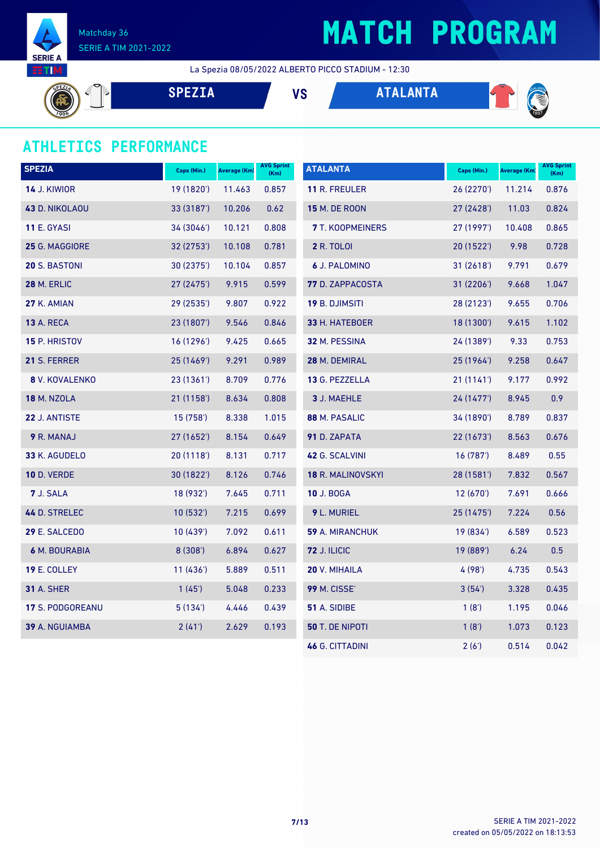

## **MATCH PROGRAM**

La Spezia 08/05/2022 ALBERTO PICCO STADIUM - 12:30

**SPEZIA VS ATALANTA**



**CONTROL** 

### **ATHLETICS PERFORMANCE**

| <b>SPEZIA</b>           | Caps (Min.) | <b>Average (Km)</b> | <b>AVG Sprint</b><br>(Km) | <b>ATALANTA</b>          | Caps (Min.) | Average (Km) | <b>AVG Sprint</b><br>(Km) |
|-------------------------|-------------|---------------------|---------------------------|--------------------------|-------------|--------------|---------------------------|
| <b>14 J. KIWIOR</b>     | 19 (1820')  | 11.463              | 0.857                     | <b>11 R. FREULER</b>     | 26(2270)    | 11.214       | 0.876                     |
| 43 D. NIKOLAOU          | 33 (3187')  | 10.206              | 0.62                      | <b>15 M. DE ROON</b>     | 27(2428)    | 11.03        | 0.824                     |
| <b>11 E. GYASI</b>      | 34 (3046')  | 10.121              | 0.808                     | <b>7</b> T. KOOPMEINERS  | 27 (1997')  | 10.408       | 0.865                     |
| 25 G. MAGGIORE          | 32 (2753')  | 10.108              | 0.781                     | <b>2 R. TOLOI</b>        | 20(1522)    | 9.98         | 0.728                     |
| <b>20 S. BASTONI</b>    | 30 (2375')  | 10.104              | 0.857                     | 6 J. PALOMINO            | 31 (2618')  | 9.791        | 0.679                     |
| 28 M. ERLIC             | 27 (2475')  | 9.915               | 0.599                     | 77 D. ZAPPACOSTA         | 31(2206')   | 9.668        | 1.047                     |
| <b>27 K. AMIAN</b>      | 29 (2535')  | 9.807               | 0.922                     | <b>19 B. DJIMSITI</b>    | 28 (2123')  | 9.655        | 0.706                     |
| <b>13 A. RECA</b>       | 23 (1807')  | 9.546               | 0.846                     | 33 H. HATEBOER           | 18 (1300')  | 9.615        | 1.102                     |
| <b>15 P. HRISTOV</b>    | 16(1296)    | 9.425               | 0.665                     | 32 M. PESSINA            | 24 (1389')  | 9.33         | 0.753                     |
| 21 S. FERRER            | 25 (1469')  | 9.291               | 0.989                     | 28 M. DEMIRAL            | 25(1964)    | 9.258        | 0.647                     |
| 8 V. KOVALENKO          | 23 (1361')  | 8.709               | 0.776                     | 13 G. PEZZELLA           | 21(1141)    | 9.177        | 0.992                     |
| <b>18 M. NZOLA</b>      | 21 (1158')  | 8.634               | 0.808                     | 3 J. MAEHLE              | 24 (1477')  | 8.945        | 0.9                       |
| 22 J. ANTISTE           | 15 (758')   | 8.338               | 1.015                     | 88 M. PASALIC            | 34 (1890')  | 8.789        | 0.837                     |
| 9 R. MANAJ              | 27 (1652')  | 8.154               | 0.649                     | 91 D. ZAPATA             | 22(1673)    | 8.563        | 0.676                     |
| 33 K. AGUDELO           | 20(1118)    | 8.131               | 0.717                     | 42 G. SCALVINI           | 16 (787')   | 8.489        | 0.55                      |
| <b>10 D. VERDE</b>      | 30 (1822')  | 8.126               | 0.746                     | <b>18 R. MALINOVSKYI</b> | 28 (1581')  | 7.832        | 0.567                     |
| 7 J. SALA               | 18 (932')   | 7.645               | 0.711                     | <b>10 J. BOGA</b>        | 12(670)     | 7.691        | 0.666                     |
| 44 D. STRELEC           | 10(532)     | 7.215               | 0.699                     | 9 L. MURIEL              | 25 (1475')  | 7.224        | 0.56                      |
| 29 E. SALCEDO           | 10 (439')   | 7.092               | 0.611                     | 59 A. MIRANCHUK          | 19 (834')   | 6.589        | 0.523                     |
| <b>6 M. BOURABIA</b>    | 8(308)      | 6.894               | 0.627                     | <b>72 J. ILICIC</b>      | 19 (889')   | 6.24         | 0.5                       |
| 19 E. COLLEY            | 11(436)     | 5.889               | 0.511                     | 20 V. MIHAILA            | 4 (98')     | 4.735        | 0.543                     |
| <b>31 A. SHER</b>       | 1(45)       | 5.048               | 0.233                     | <b>99 M. CISSE'</b>      | 3(54)       | 3.328        | 0.435                     |
| <b>17 S. PODGOREANU</b> | 5(134)      | 4.446               | 0.439                     | 51 A. SIDIBE             | 1(8')       | 1.195        | 0.046                     |
| 39 A. NGUIAMBA          | 2(41)       | 2.629               | 0.193                     | 50 T. DE NIPOTI          | 1(8')       | 1.073        | 0.123                     |
|                         |             |                     |                           | <b>46 G. CITTADINI</b>   | 2(6')       | 0.514        | 0.042                     |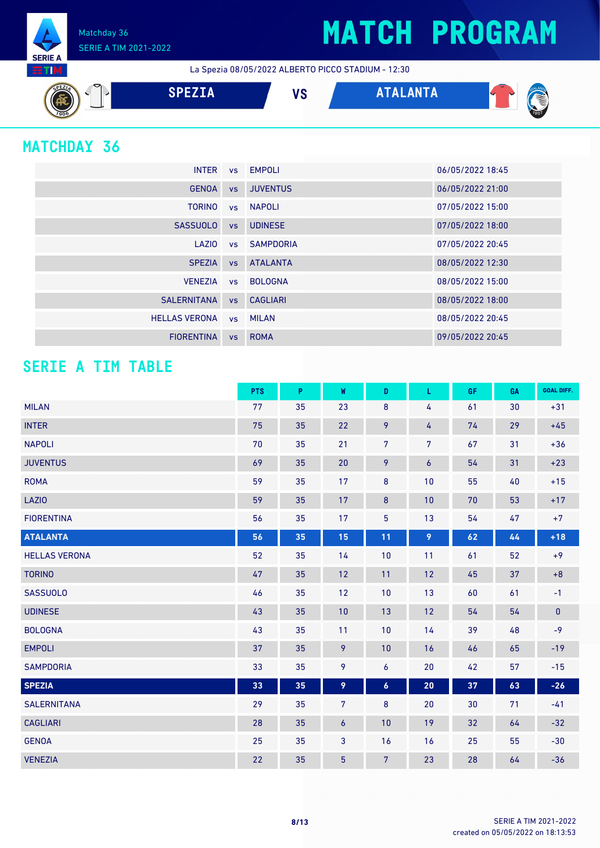Matchday 36 SERIE A TIM 2021-2022

La Spezia 08/05/2022 ALBERTO PICCO STADIUM - 12:30



### **MATCHDAY 36**

**SERIE A RTM** 

|                      |    | INTER vs EMPOLI    | 06/05/2022 18:45 |
|----------------------|----|--------------------|------------------|
| <b>GENOA</b>         |    | vs JUVENTUS        | 06/05/2022 21:00 |
| <b>TORINO</b>        |    | vs NAPOLI          | 07/05/2022 15:00 |
| <b>SASSUOLO</b>      |    | vs UDINESE         | 07/05/2022 18:00 |
| LAZIO                |    | ys SAMPDORIA       | 07/05/2022 20:45 |
| <b>SPEZIA</b>        |    | <b>vs</b> ATALANTA | 08/05/2022 12:30 |
| <b>VENEZIA</b>       |    | vs BOLOGNA         | 08/05/2022 15:00 |
| SALERNITANA          |    | vs CAGLIARI        | 08/05/2022 18:00 |
| <b>HELLAS VERONA</b> |    | vs MILAN           | 08/05/2022 20:45 |
| <b>FIORENTINA</b>    | VS | <b>ROMA</b>        | 09/05/2022 20:45 |

### **SERIE A TIM TABLE**

|                      | <b>PTS</b> | P  | W                | D                | L                | GF. | GA | <b>GOAL DIFF.</b> |
|----------------------|------------|----|------------------|------------------|------------------|-----|----|-------------------|
| <b>MILAN</b>         | 77         | 35 | 23               | $\bf 8$          | 4                | 61  | 30 | $+31$             |
| <b>INTER</b>         | 75         | 35 | 22               | 9                | 4                | 74  | 29 | $+45$             |
| <b>NAPOLI</b>        | 70         | 35 | 21               | $\overline{7}$   | $\overline{7}$   | 67  | 31 | $+36$             |
| <b>JUVENTUS</b>      | 69         | 35 | 20               | 9                | $\boldsymbol{6}$ | 54  | 31 | $+23$             |
| <b>ROMA</b>          | 59         | 35 | 17               | 8                | 10               | 55  | 40 | $+15$             |
| LAZIO                | 59         | 35 | 17               | $\bf{8}$         | 10               | 70  | 53 | $+17$             |
| <b>FIORENTINA</b>    | 56         | 35 | 17               | 5                | 13               | 54  | 47 | $+7$              |
| <b>ATALANTA</b>      | 56         | 35 | 15               | 11               | 9                | 62  | 44 | $+18$             |
| <b>HELLAS VERONA</b> | 52         | 35 | 14               | 10               | 11               | 61  | 52 | $+9$              |
| <b>TORINO</b>        | 47         | 35 | 12               | 11               | 12               | 45  | 37 | $+8$              |
| <b>SASSUOLO</b>      | 46         | 35 | 12               | 10               | 13               | 60  | 61 | $-1$              |
| <b>UDINESE</b>       | 43         | 35 | 10               | 13               | 12               | 54  | 54 | $\pmb{0}$         |
| <b>BOLOGNA</b>       | 43         | 35 | 11               | 10               | 14               | 39  | 48 | $-9$              |
| <b>EMPOLI</b>        | 37         | 35 | 9                | 10               | 16               | 46  | 65 | $-19$             |
| <b>SAMPDORIA</b>     | 33         | 35 | 9                | 6                | 20               | 42  | 57 | $-15$             |
| <b>SPEZIA</b>        | 33         | 35 | 9                | $\boldsymbol{6}$ | 20               | 37  | 63 | $-26$             |
| <b>SALERNITANA</b>   | 29         | 35 | $\overline{7}$   | 8                | 20               | 30  | 71 | $-41$             |
| <b>CAGLIARI</b>      | 28         | 35 | $\boldsymbol{6}$ | 10               | 19               | 32  | 64 | $-32$             |
| <b>GENOA</b>         | 25         | 35 | $\mathbf{3}$     | 16               | 16               | 25  | 55 | $-30$             |
| <b>VENEZIA</b>       | 22         | 35 | $\overline{5}$   | $\overline{7}$   | 23               | 28  | 64 | $-36$             |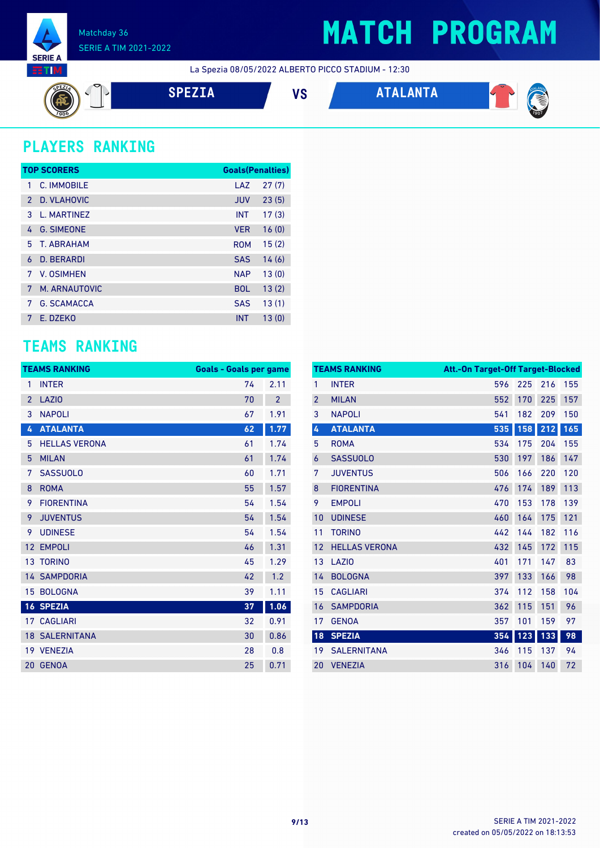

## **MATCH PROGRAM**

La Spezia 08/05/2022 ALBERTO PICCO STADIUM - 12:30

$$
\left(\begin{matrix} \overline{\mathbf{a}} \\ \overline{\mathbf{b}} \\ \overline{\mathbf{b}} \end{matrix}\right) \begin{matrix} \mathbf{a} \\ \mathbf{b} \\ \mathbf{c} \end{matrix}
$$

**SPEZIA VS ATALANTA**



### **PLAYERS RANKING**

|               | <b>TOP SCORERS</b> | <b>Goals(Penalties)</b> |       |
|---------------|--------------------|-------------------------|-------|
| 1             | C. IMMOBILE        | LAZ                     | 27(7) |
| $\mathcal{P}$ | D. VLAHOVIC        | <b>JUV</b>              | 23(5) |
| 3             | L. MARTINEZ        | <b>INT</b>              | 17(3) |
| 4             | <b>G. SIMEONE</b>  | <b>VER</b>              | 16(0) |
| 5             | T. ARRAHAM         | <b>ROM</b>              | 15(2) |
| 6             | <b>D. BERARDI</b>  | <b>SAS</b>              | 14(6) |
| 7             | V. OSIMHEN         | <b>NAP</b>              | 13(0) |
| 7             | M. ARNAUTOVIC      | <b>BOL</b>              | 13(2) |
| 7             | <b>G. SCAMACCA</b> | <b>SAS</b>              | 13(1) |
| 7             | E. DZEKO           | <b>INT</b>              | 13(0) |

### **TEAMS RANKING**

|                | <b>TEAMS RANKING</b>  | <b>Goals - Goals per game</b> |                |
|----------------|-----------------------|-------------------------------|----------------|
| 1              | <b>INTER</b>          | 74                            | 2.11           |
| $\overline{2}$ | <b>LAZIO</b>          | 70                            | $\overline{2}$ |
| 3              | <b>NAPOLI</b>         | 67                            | 1.91           |
| 4              | <b>ATALANTA</b>       | 62                            | 1.77           |
| 5              | <b>HELLAS VERONA</b>  | 61                            | 1.74           |
| 5              | <b>MILAN</b>          | 61                            | 1.74           |
| 7              | <b>SASSUOLO</b>       | 60                            | 1.71           |
| 8              | <b>ROMA</b>           | 55                            | 1.57           |
| 9              | <b>FIORENTINA</b>     | 54                            | 1.54           |
| 9              | <b>JUVENTUS</b>       | 54                            | 1.54           |
| 9              | <b>UDINESE</b>        | 54                            | 1.54           |
| 12             | <b>EMPOLI</b>         | 46                            | 1.31           |
|                | <b>13 TORINO</b>      | 45                            | 1.29           |
|                | <b>14 SAMPDORIA</b>   | 42                            | 1.2            |
|                | 15 BOLOGNA            | 39                            | 1.11           |
|                | 16 SPEZIA             | 37                            | 1.06           |
|                | <b>17 CAGLIARI</b>    | 32                            | 0.91           |
|                | <b>18 SALERNITANA</b> | 30                            | 0.86           |
|                | 19 VENEZIA            | 28                            | 0.8            |
| 20             | <b>GENOA</b>          | 25                            | 0.71           |

|                | <b>TEAMS RANKING</b> | <b>Att.-On Target-Off Target-Blocked</b> |     |     |     |
|----------------|----------------------|------------------------------------------|-----|-----|-----|
| $\mathbf{1}$   | <b>INTER</b>         | 596                                      | 225 | 216 | 155 |
| $\overline{2}$ | <b>MILAN</b>         | 552                                      | 170 | 225 | 157 |
| 3              | <b>NAPOLI</b>        | 541                                      | 182 | 209 | 150 |
| 4              | <b>ATALANTA</b>      | 535                                      | 158 | 212 | 165 |
| 5              | <b>ROMA</b>          | 534                                      | 175 | 204 | 155 |
| 6              | <b>SASSUOLO</b>      | 530                                      | 197 | 186 | 147 |
| 7              | <b>JUVENTUS</b>      | 506                                      | 166 | 220 | 120 |
| 8              | <b>FIORENTINA</b>    | 476                                      | 174 | 189 | 113 |
| 9              | <b>EMPOLI</b>        | 470                                      | 153 | 178 | 139 |
| 10             | <b>UDINESE</b>       | 460                                      | 164 | 175 | 121 |
| 11             | <b>TORINO</b>        | 442                                      | 144 | 182 | 116 |
| 12             | <b>HELLAS VERONA</b> | 432                                      | 145 | 172 | 115 |
| 13             | LAZI <sub>0</sub>    | 401                                      | 171 | 147 | 83  |
| 14             | <b>BOLOGNA</b>       | 397                                      | 133 | 166 | 98  |
| 15             | <b>CAGLIARI</b>      | 374                                      | 112 | 158 | 104 |
| 16             | <b>SAMPDORIA</b>     | 362                                      | 115 | 151 | 96  |
| 17             | <b>GENOA</b>         | 357                                      | 101 | 159 | 97  |
| 18             | <b>SPEZIA</b>        | 354                                      | 123 | 133 | 98  |
| 19             | <b>SALERNITANA</b>   | 346                                      | 115 | 137 | 94  |
| 20             | <b>VENEZIA</b>       | 316                                      | 104 | 140 | 72  |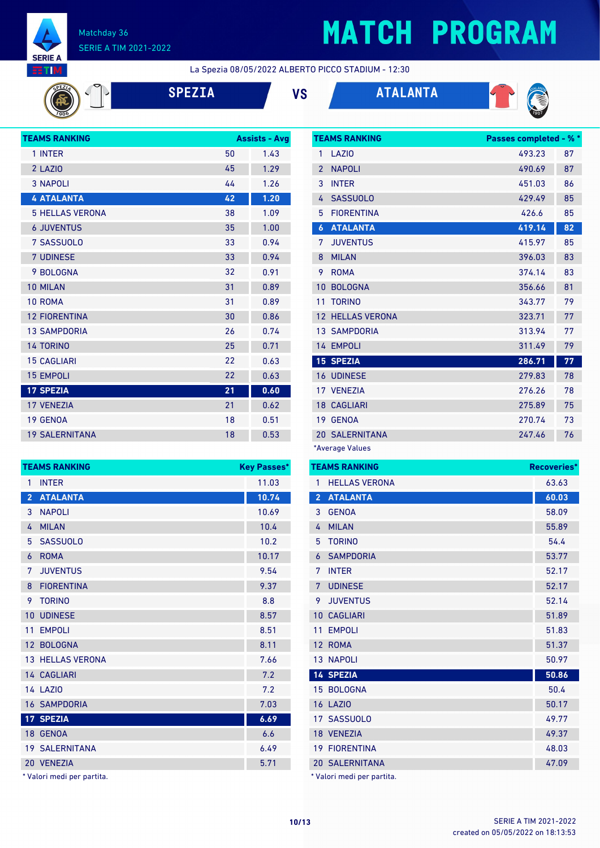

## **MATCH PROGRAM**

La Spezia 08/05/2022 ALBERTO PICCO STADIUM - 12:30

| EZIA |  |  |
|------|--|--|
|      |  |  |





| <b>TEAMS RANKING</b>   | <b>Assists - Avg</b> |      |
|------------------------|----------------------|------|
| 1 INTER                | 50                   | 1.43 |
| 2 LAZIO                | 45                   | 1.29 |
| <b>3 NAPOLI</b>        | 44                   | 1.26 |
| <b>4 ATALANTA</b>      | 42                   | 1.20 |
| <b>5 HELLAS VERONA</b> | 38                   | 1.09 |
| <b>6 JUVENTUS</b>      | 35                   | 1.00 |
| 7 SASSUOLO             | 33                   | 0.94 |
| <b>7 UDINESE</b>       | 33                   | 0.94 |
| 9 BOLOGNA              | 32                   | 0.91 |
| 10 MILAN               | 31                   | 0.89 |
| 10 ROMA                | 31                   | 0.89 |
| <b>12 FIORENTINA</b>   | 30                   | 0.86 |
| <b>13 SAMPDORIA</b>    | 26                   | 0.74 |
| <b>14 TORINO</b>       | 25                   | 0.71 |
| <b>15 CAGLIARI</b>     | 22                   | 0.63 |
| <b>15 EMPOLI</b>       | 22                   | 0.63 |
| <b>17 SPEZIA</b>       | 21                   | 0.60 |
| <b>17 VENEZIA</b>      | 21                   | 0.62 |
| 19 GENOA               | 18                   | 0.51 |
| <b>19 SALERNITANA</b>  | 18                   | 0.53 |

| <b>TEAMS RANKING</b> | <b>Key Passes*</b>    |       |
|----------------------|-----------------------|-------|
| 1                    | <b>INTER</b>          | 11.03 |
| $\overline{2}$       | <b>ATALANTA</b>       | 10.74 |
| 3                    | <b>NAPOLI</b>         | 10.69 |
| 4                    | <b>MILAN</b>          | 10.4  |
| 5                    | <b>SASSUOLO</b>       | 10.2  |
| 6                    | <b>ROMA</b>           | 10.17 |
| 7                    | <b>JUVENTUS</b>       | 9.54  |
| 8                    | <b>FIORENTINA</b>     | 9.37  |
| 9                    | <b>TORINO</b>         | 8.8   |
| 10                   | <b>UDINESE</b>        | 8.57  |
| 11                   | <b>EMPOLI</b>         | 8.51  |
|                      | 12 BOLOGNA            | 8.11  |
|                      | 13 HELLAS VERONA      | 7.66  |
|                      | 14 CAGLIARI           | 7.2   |
|                      | <b>14 LAZIO</b>       | 7.2   |
|                      | <b>16 SAMPDORIA</b>   | 7.03  |
|                      | 17 SPEZIA             | 6.69  |
|                      | 18 GENOA              | 6.6   |
|                      | <b>19 SALERNITANA</b> | 6.49  |
|                      | 20 VENEZIA            | 5.71  |

\* Valori medi per partita.

|                  | <b>TEAMS RANKING</b>  | <b>Passes completed - % *</b> |    |
|------------------|-----------------------|-------------------------------|----|
| 1                | LAZIO                 | 493.23                        | 87 |
| $\overline{2}$   | <b>NAPOLI</b>         | 490.69                        | 87 |
| 3                | <b>INTER</b>          | 451.03                        | 86 |
| 4                | <b>SASSUOLO</b>       | 429.49                        | 85 |
| 5                | <b>FIORENTINA</b>     | 426.6                         | 85 |
| $\boldsymbol{6}$ | <b>ATALANTA</b>       | 419.14                        | 82 |
| 7                | <b>JUVENTUS</b>       | 415.97                        | 85 |
| 8                | <b>MILAN</b>          | 396.03                        | 83 |
| 9                | <b>ROMA</b>           | 374.14                        | 83 |
| 10               | <b>BOLOGNA</b>        | 356.66                        | 81 |
| 11               | <b>TORINO</b>         | 343.77                        | 79 |
| 12               | <b>HELLAS VERONA</b>  | 323.71                        | 77 |
|                  | <b>13 SAMPDORIA</b>   | 313.94                        | 77 |
|                  | 14 EMPOLI             | 311.49                        | 79 |
|                  | <b>15 SPEZIA</b>      | 286.71                        | 77 |
|                  | <b>16 UDINESE</b>     | 279.83                        | 78 |
|                  | 17 VENEZIA            | 276.26                        | 78 |
|                  | <b>18 CAGLIARI</b>    | 275.89                        | 75 |
|                  | 19 GENOA              | 270.74                        | 73 |
|                  | <b>20 SALERNITANA</b> | 247.46                        | 76 |
|                  | *Average Values       |                               |    |

**TEAMS RANKING Recoveries\*** 1 HELLAS VERONA 63.63 **ATALANTA 60.03** GENOA 58.09 MILAN 55.89 TORINO 54.4 SAMPDORIA 53.77 INTER 52.17 **7 UDINESE** 52.17 JUVENTUS 52.14 10 CAGLIARI 51.89 11 EMPOLI 51.83 12 ROMA 51.37 NAPOLI 50.97 **SPEZIA 50.86** 15 BOLOGNA 50.4 LAZIO 50.17 SASSUOLO 49.77 VENEZIA 49.37 FIORENTINA 48.03 SALERNITANA 47.09 \* Valori medi per partita.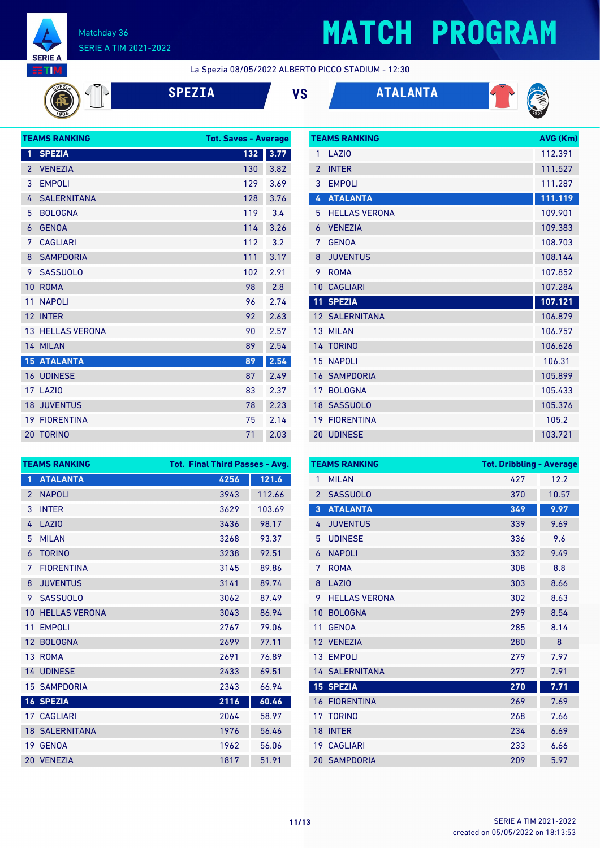

# **MATCH PROGRAM**

La Spezia 08/05/2022 ALBERTO PICCO STADIUM - 12:30

|  | <b>SPEZI</b> |
|--|--------------|
|  |              |

**SPEZIA VS ATALANTA**





| <b>TEAMS RANKING</b> |                         |     | <b>Tot. Saves - Average</b> |
|----------------------|-------------------------|-----|-----------------------------|
| 1                    | <b>SPEZIA</b>           | 132 | 3.77                        |
| $\overline{2}$       | <b>VENEZIA</b>          | 130 | 3.82                        |
| 3                    | <b>EMPOLI</b>           | 129 | 3.69                        |
| 4                    | <b>SALERNITANA</b>      | 128 | 3.76                        |
| 5                    | <b>BOLOGNA</b>          | 119 | 3.4                         |
| 6                    | <b>GENOA</b>            | 114 | 3.26                        |
| 7                    | <b>CAGLIARI</b>         | 112 | 3.2                         |
| 8                    | <b>SAMPDORIA</b>        | 111 | 3.17                        |
| 9                    | <b>SASSUOLO</b>         | 102 | 2.91                        |
| 10                   | <b>ROMA</b>             | 98  | 2.8                         |
| 11                   | <b>NAPOLI</b>           | 96  | 2.74                        |
| 12                   | <b>INTER</b>            | 92  | 2.63                        |
|                      | <b>13 HELLAS VERONA</b> | 90  | 2.57                        |
|                      | 14 MILAN                | 89  | 2.54                        |
|                      | <b>15 ATALANTA</b>      | 89  | 2.54                        |
|                      | <b>16 UDINESE</b>       | 87  | 2.49                        |
|                      | 17 LAZIO                | 83  | 2.37                        |
| 18                   | <b>JUVENTUS</b>         | 78  | 2.23                        |
|                      | <b>19 FIORENTINA</b>    | 75  | 2.14                        |
|                      | 20 TORINO               | 71  | 2.03                        |

|                 | <b>TEAMS RANKING</b>  | AVG (Km) |
|-----------------|-----------------------|----------|
| 1               | LAZI <sub>0</sub>     | 112.391  |
| $\mathfrak{p}$  | <b>INTER</b>          | 111.527  |
| 3               | <b>EMPOLI</b>         | 111.287  |
| 4               | <b>ATALANTA</b>       | 111.119  |
| 5               | <b>HELLAS VERONA</b>  | 109.901  |
| 6               | <b>VENEZIA</b>        | 109.383  |
| 7               | <b>GENOA</b>          | 108.703  |
| 8               | <b>JUVENTUS</b>       | 108.144  |
| 9               | <b>ROMA</b>           | 107.852  |
| 10              | <b>CAGLIARI</b>       | 107.284  |
|                 |                       |          |
| 11              | <b>SPEZIA</b>         | 107.121  |
|                 | <b>12 SALERNITANA</b> | 106.879  |
|                 | 13 MILAN              | 106.757  |
|                 | 14 TORINO             | 106.626  |
| 15              | <b>NAPOLI</b>         | 106.31   |
| 16              | <b>SAMPDORIA</b>      | 105.899  |
| 17              | <b>BOLOGNA</b>        | 105.433  |
|                 | 18 SASSUOLO           | 105.376  |
| 19 <sup>°</sup> | <b>FIORENTINA</b>     | 105.2    |

| <b>TEAMS RANKING</b> |                       | <b>Tot. Final Third Passes - Avg.</b> |        |  |
|----------------------|-----------------------|---------------------------------------|--------|--|
| 1                    | <b>ATALANTA</b>       | 4256                                  | 121.6  |  |
| $\overline{2}$       | <b>NAPOLI</b>         | 3943                                  | 112.66 |  |
| 3                    | <b>INTER</b>          | 3629                                  | 103.69 |  |
| 4                    | <b>LAZIO</b>          | 3436                                  | 98.17  |  |
| 5                    | <b>MILAN</b>          | 3268                                  | 93.37  |  |
| 6                    | <b>TORINO</b>         | 3238                                  | 92.51  |  |
| 7                    | <b>FIORENTINA</b>     | 3145                                  | 89.86  |  |
| 8                    | <b>JUVENTUS</b>       | 3141                                  | 89.74  |  |
| 9                    | <b>SASSUOLO</b>       | 3062                                  | 87.49  |  |
| 10                   | <b>HELLAS VERONA</b>  | 3043                                  | 86.94  |  |
| 11                   | <b>EMPOLI</b>         | 2767                                  | 79.06  |  |
| 12                   | <b>BOLOGNA</b>        | 2699                                  | 77.11  |  |
| 13                   | <b>ROMA</b>           | 2691                                  | 76.89  |  |
|                      | 14 UDINESE            | 2433                                  | 69.51  |  |
| 15                   | <b>SAMPDORIA</b>      | 2343                                  | 66.94  |  |
|                      | <b>16 SPEZIA</b>      | 2116                                  | 60.46  |  |
|                      | <b>17 CAGLIARI</b>    | 2064                                  | 58.97  |  |
|                      | <b>18 SALERNITANA</b> | 1976                                  | 56.46  |  |
| 19                   | <b>GENOA</b>          | 1962                                  | 56.06  |  |
| 20                   | <b>VENEZIA</b>        | 1817                                  | 51.91  |  |

|                | <b>TEAMS RANKING</b>  | <b>Tot. Dribbling - Average</b> |       |
|----------------|-----------------------|---------------------------------|-------|
| 1              | <b>MILAN</b>          | 427                             | 12.2  |
| $\overline{2}$ | <b>SASSUOLO</b>       | 370                             | 10.57 |
| 3              | <b>ATALANTA</b>       | 349                             | 9.97  |
| 4              | <b>JUVENTUS</b>       | 339                             | 9.69  |
| 5              | <b>UDINESE</b>        | 336                             | 9.6   |
| 6              | <b>NAPOLI</b>         | 332                             | 9.49  |
| 7              | <b>ROMA</b>           | 308                             | 8.8   |
| 8              | <b>LAZIO</b>          | 303                             | 8.66  |
| 9              | <b>HELLAS VERONA</b>  | 302                             | 8.63  |
| 10             | <b>BOLOGNA</b>        | 299                             | 8.54  |
| 11             | <b>GENOA</b>          | 285                             | 8.14  |
|                | 12 VENEZIA            | 280                             | 8     |
|                | 13 EMPOLI             | 279                             | 7.97  |
|                | <b>14 SALERNITANA</b> | 277                             | 7.91  |
|                | <b>15 SPEZIA</b>      | 270                             | 7.71  |
|                | <b>16 FIORENTINA</b>  | 269                             | 7.69  |
| 17             | <b>TORINO</b>         | 268                             | 7.66  |
| 18             | <b>INTER</b>          | 234                             | 6.69  |
|                | <b>19 CAGLIARI</b>    | 233                             | 6.66  |
|                | <b>20 SAMPDORIA</b>   | 209                             | 5.97  |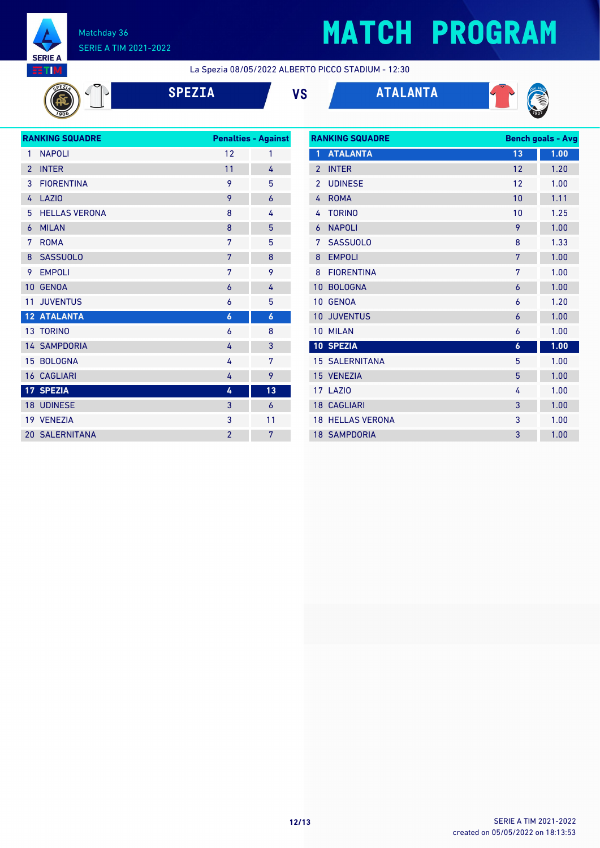

# **MATCH PROGRAM**

La Spezia 08/05/2022 ALBERTO PICCO STADIUM - 12:30





|                | <b>RANKING SQUADRE</b> |                  | <b>Penalties - Against</b> |
|----------------|------------------------|------------------|----------------------------|
| 1              | <b>NAPOLI</b>          | 12               | 1                          |
| $\overline{2}$ | <b>INTER</b>           | 11               | 4                          |
| 3              | <b>FIORENTINA</b>      | 9                | 5                          |
| 4              | <b>LAZIO</b>           | 9                | $\overline{6}$             |
| 5              | <b>HELLAS VERONA</b>   | 8                | 4                          |
| 6              | <b>MILAN</b>           | 8                | 5                          |
| 7              | <b>ROMA</b>            | 7                | 5                          |
| 8              | <b>SASSUOLO</b>        | 7                | 8                          |
| 9              | <b>EMPOLI</b>          | 7                | 9                          |
| 10             | <b>GENOA</b>           | 6                | 4                          |
| 11             | <b>JUVENTUS</b>        | 6                | 5                          |
|                | <b>12 ATALANTA</b>     | $\boldsymbol{6}$ | $\boldsymbol{6}$           |
|                | <b>13 TORINO</b>       | 6                | 8                          |
|                | <b>14 SAMPDORIA</b>    | 4                | 3                          |
| 15             | <b>BOLOGNA</b>         | 4                | 7                          |
|                | <b>16 CAGLIARI</b>     | 4                | 9                          |
|                | 17 SPEZIA              | 4                | 13                         |
|                | 18 UDINESE             | 3                | $\overline{6}$             |
|                | 19 VENEZIA             | 3                | 11                         |
|                | <b>20 SALERNITANA</b>  | $\overline{2}$   | 7                          |
|                |                        |                  |                            |

| <b>RANKING SQUADRE</b> |                         | <b>Bench goals - Avg</b> |      |
|------------------------|-------------------------|--------------------------|------|
| 1                      | <b>ATALANTA</b>         | 13                       | 1.00 |
| $\overline{2}$         | <b>INTER</b>            | 12                       | 1.20 |
| $\overline{2}$         | <b>UDINESE</b>          | 12                       | 1.00 |
| 4                      | <b>ROMA</b>             | 10                       | 1.11 |
| 4                      | <b>TORINO</b>           | 10                       | 1.25 |
| 6                      | <b>NAPOLI</b>           | 9                        | 1.00 |
| 7                      | <b>SASSUOLO</b>         | 8                        | 1.33 |
| 8                      | <b>EMPOLI</b>           | 7                        | 1.00 |
| 8                      | <b>FIORENTINA</b>       | 7                        | 1.00 |
| 10                     | <b>BOLOGNA</b>          | 6                        | 1.00 |
| 10                     | <b>GENOA</b>            | 6                        | 1.20 |
| 10                     | <b>JUVENTUS</b>         | 6                        | 1.00 |
| 10                     | <b>MILAN</b>            | 6                        | 1.00 |
|                        | 10 SPEZIA               | $\boldsymbol{6}$         | 1.00 |
|                        | <b>15 SALERNITANA</b>   | 5                        | 1.00 |
|                        | 15 VENEZIA              | 5                        | 1.00 |
|                        | 17 LAZIO                | 4                        | 1.00 |
|                        | <b>18 CAGLIARI</b>      | 3                        | 1.00 |
|                        | <b>18 HELLAS VERONA</b> | 3                        | 1.00 |
|                        | <b>18 SAMPDORIA</b>     | 3                        | 1.00 |